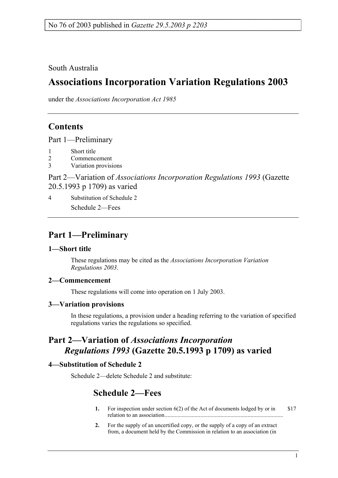South Australia

# **Associations Incorporation Variation Regulations 2003**

under the *Associations Incorporation Act 1985*

## **Contents**

Part 1—Preliminary

- 1 Short title
- 2 Commencement
- 3 Variation provisions

Part 2—Variation of *Associations Incorporation Regulations 1993* (Gazette 20.5.1993 p 1709) as varied

4 Substitution of Schedule 2 Schedule 2—Fees

## **Part 1—Preliminary**

#### **1—Short title**

These regulations may be cited as the *Associations Incorporation Variation Regulations 2003*.

### **2—Commencement**

These regulations will come into operation on 1 July 2003.

### **3—Variation provisions**

In these regulations, a provision under a heading referring to the variation of specified regulations varies the regulations so specified.

# **Part 2—Variation of** *Associations Incorporation Regulations 1993* **(Gazette 20.5.1993 p 1709) as varied**

### **4—Substitution of Schedule 2**

Schedule 2—delete Schedule 2 and substitute:

## **Schedule 2—Fees**

- **1.** For inspection under section 6(2) of the Act of documents lodged by or in relation to an association................................................................................... \$17
- **2.** For the supply of an uncertified copy, or the supply of a copy of an extract from, a document held by the Commission in relation to an association (in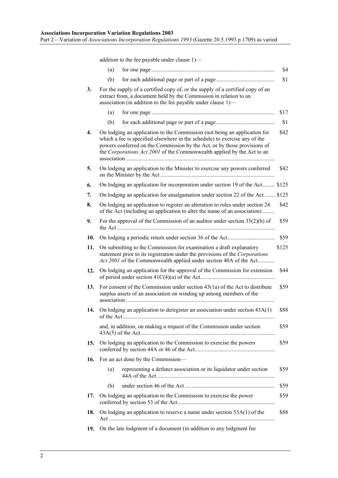addition to the fee payable under clause 1)—

|     | (a)                                                                                                                                                                                                                                                                                                           |                                                                    | \$4   |
|-----|---------------------------------------------------------------------------------------------------------------------------------------------------------------------------------------------------------------------------------------------------------------------------------------------------------------|--------------------------------------------------------------------|-------|
|     | (b)                                                                                                                                                                                                                                                                                                           |                                                                    | \$1   |
| 3.  | For the supply of a certified copy of, or the supply of a certified copy of an<br>extract from, a document held by the Commission in relation to an<br>association (in addition to the fee payable under clause 1)-                                                                                           |                                                                    |       |
|     | (a)                                                                                                                                                                                                                                                                                                           |                                                                    | \$17  |
|     | (b)                                                                                                                                                                                                                                                                                                           |                                                                    | \$1   |
| 4.  | On lodging an application to the Commission (not being an application for<br>which a fee is specified elsewhere in the schedule) to exercise any of the<br>powers conferred on the Commission by the Act, or by those provisions of<br>the Corporations Act 2001 of the Commonwealth applied by the Act to an |                                                                    | \$42  |
| 5.  | On lodging an application to the Minister to exercise any powers conferred                                                                                                                                                                                                                                    |                                                                    | \$42  |
| 6.  | On lodging an application for incorporation under section 19 of the Act \$125                                                                                                                                                                                                                                 |                                                                    |       |
| 7.  | On lodging an application for amalgamation under section 22 of the Act  \$125                                                                                                                                                                                                                                 |                                                                    |       |
| 8.  | On lodging an application to register an alteration to rules under section 24<br>of the Act (including an application to alter the name of an association)                                                                                                                                                    |                                                                    | \$42  |
| 9.  | For the approval of the Commission of an auditor under section $35(2)(b)$ of                                                                                                                                                                                                                                  |                                                                    | \$59  |
| 10. |                                                                                                                                                                                                                                                                                                               |                                                                    | \$59  |
| 11. | On submitting to the Commission for examination a draft explanatory<br>statement prior to its registration under the provisions of the Corporations<br>Act 2001 of the Commonwealth applied under section 40A of the Act                                                                                      |                                                                    | \$125 |
| 12. | On lodging an application for the approval of the Commission for extension                                                                                                                                                                                                                                    |                                                                    | \$44  |
| 13. | For consent of the Commission under section $43(1a)$ of the Act to distribute<br>surplus assets of an association on winding up among members of the                                                                                                                                                          |                                                                    | \$59  |
| 14. | On lodging an application to deregister an association under section 43A(1)                                                                                                                                                                                                                                   |                                                                    | \$88  |
|     | and, in addition, on making a request of the Commission under section                                                                                                                                                                                                                                         |                                                                    | \$59  |
| 15. |                                                                                                                                                                                                                                                                                                               | On lodging an application to the Commission to exercise the powers | \$59  |
| 16. | For an act done by the Commission-                                                                                                                                                                                                                                                                            |                                                                    |       |
|     | (a)                                                                                                                                                                                                                                                                                                           | representing a defunct association or its liquidator under section | \$59  |
|     | (b)                                                                                                                                                                                                                                                                                                           |                                                                    | \$59  |
| 17. | On lodging an application to the Commission to exercise the power                                                                                                                                                                                                                                             |                                                                    | \$59  |
| 18. | On lodging an application to reserve a name under section $53A(1)$ of the<br>\$88                                                                                                                                                                                                                             |                                                                    |       |
| 19. | On the late lodgment of a document (in addition to any lodgment fee                                                                                                                                                                                                                                           |                                                                    |       |